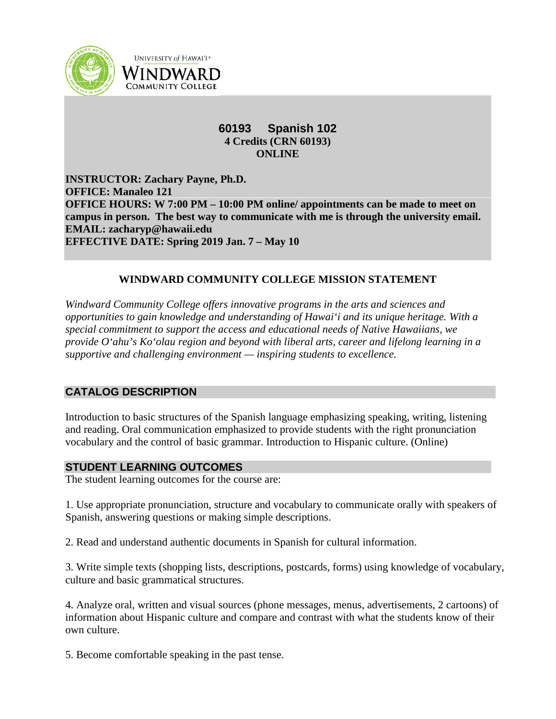

**UNIVERSITY of HAWAI'I\*** WINDWARD **COMMUNITY COLLEGE** 

# **60193 Spanish 102 4 Credits (CRN 60193) ONLINE**

**INSTRUCTOR: Zachary Payne, Ph.D. OFFICE: Manaleo 121 OFFICE HOURS: W 7:00 PM – 10:00 PM online/ appointments can be made to meet on campus in person. The best way to communicate with me is through the university email. EMAIL: zacharyp@hawaii.edu EFFECTIVE DATE: Spring 2019 Jan. 7 – May 10**

# **WINDWARD COMMUNITY COLLEGE MISSION STATEMENT**

*Windward Community College offers innovative programs in the arts and sciences and opportunities to gain knowledge and understanding of Hawai'i and its unique heritage. With a special commitment to support the access and educational needs of Native Hawaiians, we provide O'ahu's Ko'olau region and beyond with liberal arts, career and lifelong learning in a supportive and challenging environment — inspiring students to excellence.*

# **CATALOG DESCRIPTION**

Introduction to basic structures of the Spanish language emphasizing speaking, writing, listening and reading. Oral communication emphasized to provide students with the right pronunciation vocabulary and the control of basic grammar. Introduction to Hispanic culture. (Online)

## **STUDENT LEARNING OUTCOMES**

The student learning outcomes for the course are:

1. Use appropriate pronunciation, structure and vocabulary to communicate orally with speakers of Spanish, answering questions or making simple descriptions.

2. Read and understand authentic documents in Spanish for cultural information.

3. Write simple texts (shopping lists, descriptions, postcards, forms) using knowledge of vocabulary, culture and basic grammatical structures.

4. Analyze oral, written and visual sources (phone messages, menus, advertisements, 2 cartoons) of information about Hispanic culture and compare and contrast with what the students know of their own culture.

5. Become comfortable speaking in the past tense.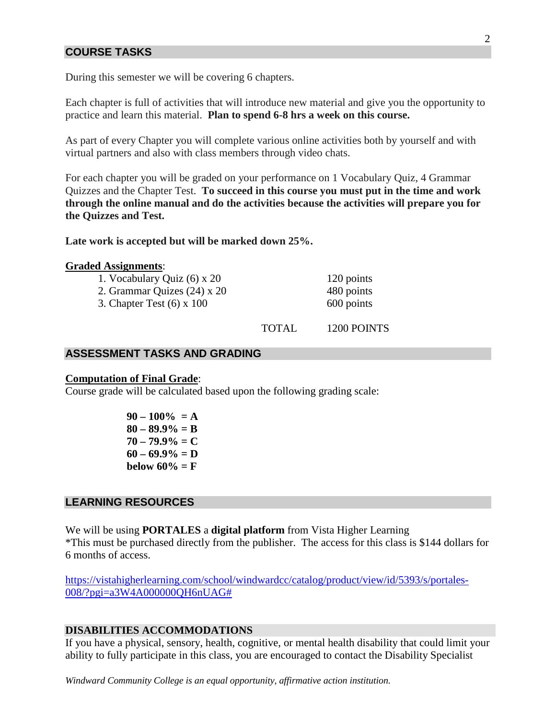## **COURSE TASKS**

During this semester we will be covering 6 chapters.

Each chapter is full of activities that will introduce new material and give you the opportunity to practice and learn this material. **Plan to spend 6-8 hrs a week on this course.**

As part of every Chapter you will complete various online activities both by yourself and with virtual partners and also with class members through video chats.

For each chapter you will be graded on your performance on 1 Vocabulary Quiz, 4 Grammar Quizzes and the Chapter Test. **To succeed in this course you must put in the time and work through the online manual and do the activities because the activities will prepare you for the Quizzes and Test.**

**Late work is accepted but will be marked down 25%.**

#### **Graded Assignments**:

| 1. Vocabulary Quiz (6) x 20 | 120 points |
|-----------------------------|------------|
| 2. Grammar Quizes (24) x 20 | 480 points |
| 3. Chapter Test (6) x 100   | 600 points |
|                             |            |

TOTAL 1200 POINTS

## **ASSESSMENT TASKS AND GRADING**

#### **Computation of Final Grade**:

Course grade will be calculated based upon the following grading scale:

**90 – 100% = A 80 – 89.9% = B 70 – 79.9% = C**  $60 - 69.9\% = D$ **below 60% =**  $F$ 

### **LEARNING RESOURCES**

We will be using **PORTALES** a **digital platform** from Vista Higher Learning \*This must be purchased directly from the publisher. The access for this class is \$144 dollars for 6 months of access.

[https://vistahigherlearning.com/school/windwardcc/catalog/product/view/id/5393/s/portales-](https://vistahigherlearning.com/school/windwardcc/catalog/product/view/id/5393/s/portales-008/?pgi=a3W4A000000QH6nUAG%23)[008/?pgi=a3W4A000000QH6nUAG#](https://vistahigherlearning.com/school/windwardcc/catalog/product/view/id/5393/s/portales-008/?pgi=a3W4A000000QH6nUAG%23)

## **DISABILITIES ACCOMMODATIONS**

If you have a physical, sensory, health, cognitive, or mental health disability that could limit your ability to fully participate in this class, you are encouraged to contact the Disability Specialist

*Windward Community College is an equal opportunity, affirmative action institution.*